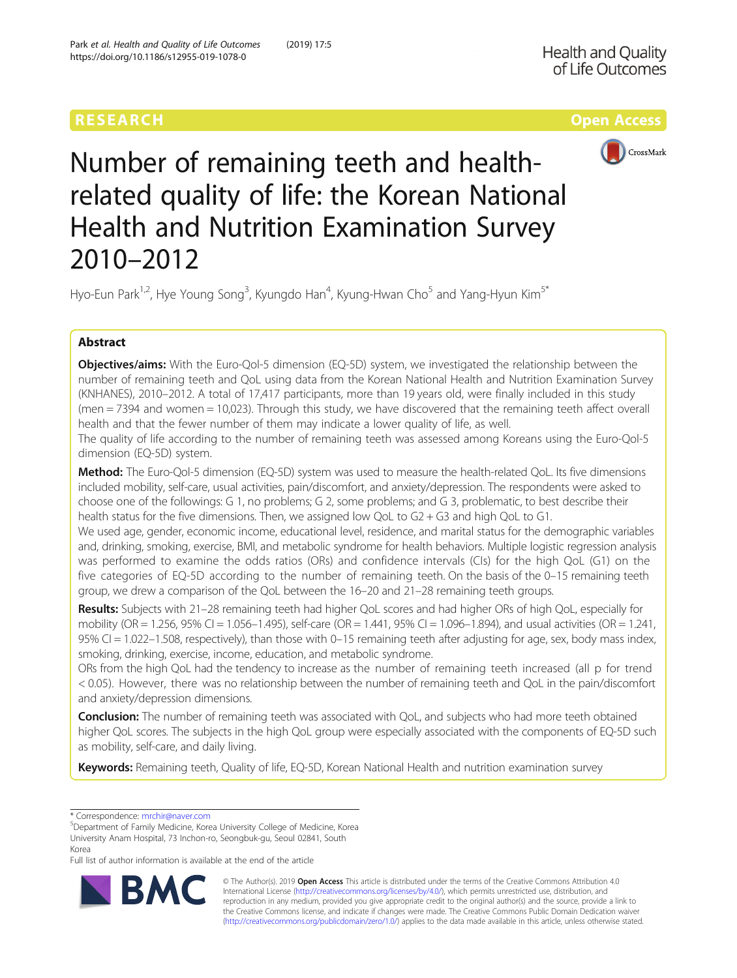# RESEARCH **RESEARCH CONSUMING THE CONSUMING TEACHER CONSUMING THE CONSUMING TEACHER CONSUMING THE CONSUMING TEACHER CONSUMING THE CONSUMING TEACHER CONSUMING THE CONSUMING TEACHER CONSUMING THE CONSUMING THE CONSUMING THE**



Number of remaining teeth and healthrelated quality of life: the Korean National Health and Nutrition Examination Survey 2010–2012

Hyo-Eun Park<sup>1,2</sup>, Hye Young Song<sup>3</sup>, Kyungdo Han<sup>4</sup>, Kyung-Hwan Cho<sup>5</sup> and Yang-Hyun Kim<sup>5\*</sup>

## Abstract

**Objectives/aims:** With the Euro-Qol-5 dimension (EQ-5D) system, we investigated the relationship between the number of remaining teeth and QoL using data from the Korean National Health and Nutrition Examination Survey (KNHANES), 2010–2012. A total of 17,417 participants, more than 19 years old, were finally included in this study (men = 7394 and women = 10,023). Through this study, we have discovered that the remaining teeth affect overall health and that the fewer number of them may indicate a lower quality of life, as well.

The quality of life according to the number of remaining teeth was assessed among Koreans using the Euro-Qol-5 dimension (EQ-5D) system.

Method: The Euro-Qol-5 dimension (EQ-5D) system was used to measure the health-related QoL. Its five dimensions included mobility, self-care, usual activities, pain/discomfort, and anxiety/depression. The respondents were asked to choose one of the followings: G 1, no problems; G 2, some problems; and G 3, problematic, to best describe their health status for the five dimensions. Then, we assigned low QoL to G2 + G3 and high QoL to G1.

We used age, gender, economic income, educational level, residence, and marital status for the demographic variables and, drinking, smoking, exercise, BMI, and metabolic syndrome for health behaviors. Multiple logistic regression analysis was performed to examine the odds ratios (ORs) and confidence intervals (CIs) for the high QoL (G1) on the five categories of EQ-5D according to the number of remaining teeth. On the basis of the 0–15 remaining teeth group, we drew a comparison of the QoL between the 16–20 and 21–28 remaining teeth groups.

Results: Subjects with 21-28 remaining teeth had higher QoL scores and had higher ORs of high QoL, especially for mobility (OR = 1.256, 95% CI = 1.056–1.495), self-care (OR = 1.441, 95% CI = 1.096–1.894), and usual activities (OR = 1.241, 95% CI = 1.022–1.508, respectively), than those with 0–15 remaining teeth after adjusting for age, sex, body mass index, smoking, drinking, exercise, income, education, and metabolic syndrome.

ORs from the high QoL had the tendency to increase as the number of remaining teeth increased (all p for trend < 0.05). However, there was no relationship between the number of remaining teeth and QoL in the pain/discomfort and anxiety/depression dimensions.

**Conclusion:** The number of remaining teeth was associated with QoL, and subjects who had more teeth obtained higher QoL scores. The subjects in the high QoL group were especially associated with the components of EQ-5D such as mobility, self-care, and daily living.

Keywords: Remaining teeth, Quality of life, EQ-5D, Korean National Health and nutrition examination survey

Department of Family Medicine, Korea University College of Medicine, Korea University Anam Hospital, 73 Inchon-ro, Seongbuk-gu, Seoul 02841, South Korea

Full list of author information is available at the end of the article



© The Author(s). 2019 Open Access This article is distributed under the terms of the Creative Commons Attribution 4.0 International License [\(http://creativecommons.org/licenses/by/4.0/](http://creativecommons.org/licenses/by/4.0/)), which permits unrestricted use, distribution, and reproduction in any medium, provided you give appropriate credit to the original author(s) and the source, provide a link to the Creative Commons license, and indicate if changes were made. The Creative Commons Public Domain Dedication waiver [\(http://creativecommons.org/publicdomain/zero/1.0/](http://creativecommons.org/publicdomain/zero/1.0/)) applies to the data made available in this article, unless otherwise stated.

<sup>\*</sup> Correspondence: [mrchir@naver.com](mailto:mrchir@naver.com) <sup>5</sup>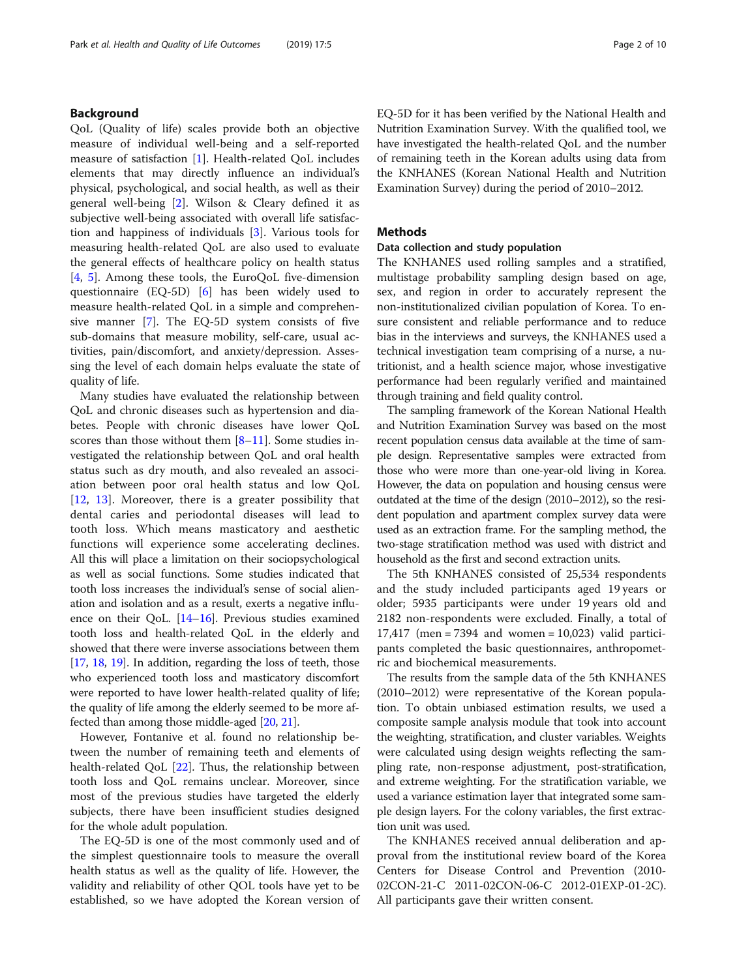## Background

QoL (Quality of life) scales provide both an objective measure of individual well-being and a self-reported measure of satisfaction [[1\]](#page-7-0). Health-related QoL includes elements that may directly influence an individual's physical, psychological, and social health, as well as their general well-being [\[2\]](#page-7-0). Wilson & Cleary defined it as subjective well-being associated with overall life satisfaction and happiness of individuals [[3\]](#page-7-0). Various tools for measuring health-related QoL are also used to evaluate the general effects of healthcare policy on health status [[4,](#page-7-0) [5\]](#page-7-0). Among these tools, the EuroQoL five-dimension questionnaire (EQ-5D) [[6\]](#page-7-0) has been widely used to measure health-related QoL in a simple and comprehensive manner [\[7](#page-7-0)]. The EQ-5D system consists of five sub-domains that measure mobility, self-care, usual activities, pain/discomfort, and anxiety/depression. Assessing the level of each domain helps evaluate the state of quality of life.

Many studies have evaluated the relationship between QoL and chronic diseases such as hypertension and diabetes. People with chronic diseases have lower QoL scores than those without them  $[8-11]$  $[8-11]$  $[8-11]$  $[8-11]$ . Some studies investigated the relationship between QoL and oral health status such as dry mouth, and also revealed an association between poor oral health status and low QoL [[12,](#page-8-0) [13](#page-8-0)]. Moreover, there is a greater possibility that dental caries and periodontal diseases will lead to tooth loss. Which means masticatory and aesthetic functions will experience some accelerating declines. All this will place a limitation on their sociopsychological as well as social functions. Some studies indicated that tooth loss increases the individual's sense of social alienation and isolation and as a result, exerts a negative influence on their QoL. [[14](#page-8-0)–[16\]](#page-8-0). Previous studies examined tooth loss and health-related QoL in the elderly and showed that there were inverse associations between them [[17](#page-8-0), [18](#page-8-0), [19](#page-8-0)]. In addition, regarding the loss of teeth, those who experienced tooth loss and masticatory discomfort were reported to have lower health-related quality of life; the quality of life among the elderly seemed to be more affected than among those middle-aged [\[20,](#page-8-0) [21\]](#page-8-0).

However, Fontanive et al. found no relationship between the number of remaining teeth and elements of health-related QoL [\[22](#page-8-0)]. Thus, the relationship between tooth loss and QoL remains unclear. Moreover, since most of the previous studies have targeted the elderly subjects, there have been insufficient studies designed for the whole adult population.

The EQ-5D is one of the most commonly used and of the simplest questionnaire tools to measure the overall health status as well as the quality of life. However, the validity and reliability of other QOL tools have yet to be established, so we have adopted the Korean version of EQ-5D for it has been verified by the National Health and Nutrition Examination Survey. With the qualified tool, we have investigated the health-related QoL and the number of remaining teeth in the Korean adults using data from the KNHANES (Korean National Health and Nutrition Examination Survey) during the period of 2010–2012.

## **Methods**

## Data collection and study population

The KNHANES used rolling samples and a stratified, multistage probability sampling design based on age, sex, and region in order to accurately represent the non-institutionalized civilian population of Korea. To ensure consistent and reliable performance and to reduce bias in the interviews and surveys, the KNHANES used a technical investigation team comprising of a nurse, a nutritionist, and a health science major, whose investigative performance had been regularly verified and maintained through training and field quality control.

The sampling framework of the Korean National Health and Nutrition Examination Survey was based on the most recent population census data available at the time of sample design. Representative samples were extracted from those who were more than one-year-old living in Korea. However, the data on population and housing census were outdated at the time of the design (2010–2012), so the resident population and apartment complex survey data were used as an extraction frame. For the sampling method, the two-stage stratification method was used with district and household as the first and second extraction units.

The 5th KNHANES consisted of 25,534 respondents and the study included participants aged 19 years or older; 5935 participants were under 19 years old and 2182 non-respondents were excluded. Finally, a total of 17,417 (men = 7394 and women = 10,023) valid participants completed the basic questionnaires, anthropometric and biochemical measurements.

The results from the sample data of the 5th KNHANES (2010–2012) were representative of the Korean population. To obtain unbiased estimation results, we used a composite sample analysis module that took into account the weighting, stratification, and cluster variables. Weights were calculated using design weights reflecting the sampling rate, non-response adjustment, post-stratification, and extreme weighting. For the stratification variable, we used a variance estimation layer that integrated some sample design layers. For the colony variables, the first extraction unit was used.

The KNHANES received annual deliberation and approval from the institutional review board of the Korea Centers for Disease Control and Prevention (2010- 02CON-21-C 2011-02CON-06-C 2012-01EXP-01-2C). All participants gave their written consent.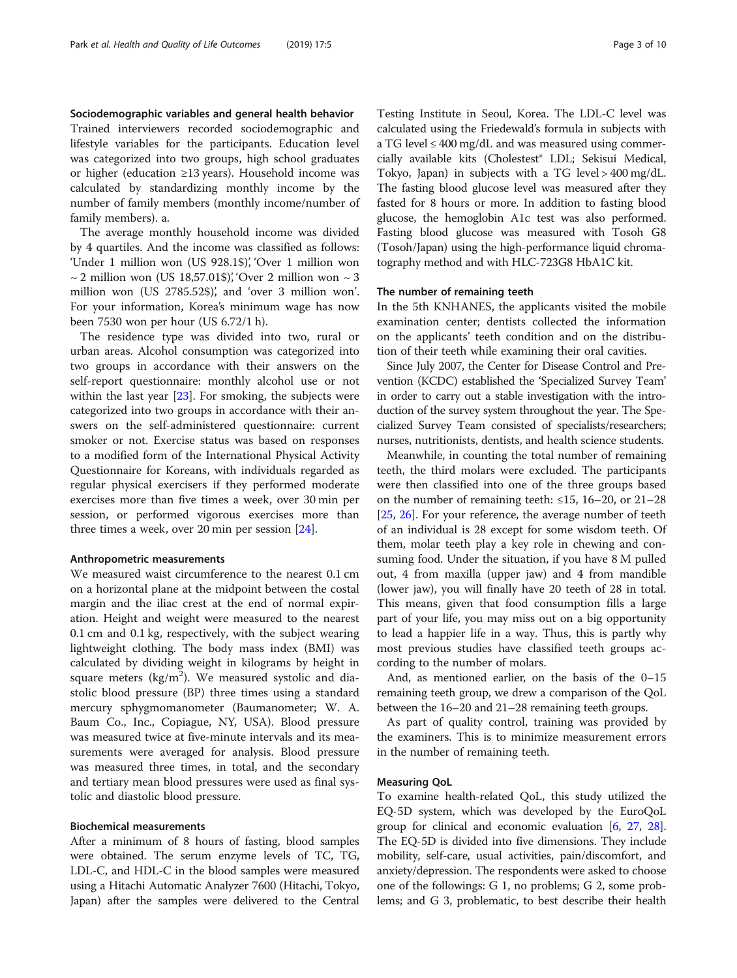Sociodemographic variables and general health behavior Trained interviewers recorded sociodemographic and lifestyle variables for the participants. Education level was categorized into two groups, high school graduates or higher (education ≥13 years). Household income was calculated by standardizing monthly income by the number of family members (monthly income/number of family members). a.

The average monthly household income was divided by 4 quartiles. And the income was classified as follows: 'Under 1 million won (US 928.1\$)', 'Over 1 million won  $\sim$  2 million won (US 18,57.01\$), 'Over 2 million won  $\sim$  3 million won (US 2785.52\$), and 'over 3 million won'. For your information, Korea's minimum wage has now been 7530 won per hour (US 6.72/1 h).

The residence type was divided into two, rural or urban areas. Alcohol consumption was categorized into two groups in accordance with their answers on the self-report questionnaire: monthly alcohol use or not within the last year  $[23]$  $[23]$ . For smoking, the subjects were categorized into two groups in accordance with their answers on the self-administered questionnaire: current smoker or not. Exercise status was based on responses to a modified form of the International Physical Activity Questionnaire for Koreans, with individuals regarded as regular physical exercisers if they performed moderate exercises more than five times a week, over 30 min per session, or performed vigorous exercises more than three times a week, over 20 min per session [[24](#page-8-0)].

#### Anthropometric measurements

We measured waist circumference to the nearest 0.1 cm on a horizontal plane at the midpoint between the costal margin and the iliac crest at the end of normal expiration. Height and weight were measured to the nearest 0.1 cm and 0.1 kg, respectively, with the subject wearing lightweight clothing. The body mass index (BMI) was calculated by dividing weight in kilograms by height in square meters (kg/m<sup>2</sup>). We measured systolic and diastolic blood pressure (BP) three times using a standard mercury sphygmomanometer (Baumanometer; W. A. Baum Co., Inc., Copiague, NY, USA). Blood pressure was measured twice at five-minute intervals and its measurements were averaged for analysis. Blood pressure was measured three times, in total, and the secondary and tertiary mean blood pressures were used as final systolic and diastolic blood pressure.

## Biochemical measurements

After a minimum of 8 hours of fasting, blood samples were obtained. The serum enzyme levels of TC, TG, LDL-C, and HDL-C in the blood samples were measured using a Hitachi Automatic Analyzer 7600 (Hitachi, Tokyo, Japan) after the samples were delivered to the Central

Testing Institute in Seoul, Korea. The LDL-C level was calculated using the Friedewald's formula in subjects with a TG level  $\leq 400$  mg/dL and was measured using commercially available kits (Cholestest® LDL; Sekisui Medical, Tokyo, Japan) in subjects with a TG level > 400 mg/dL. The fasting blood glucose level was measured after they fasted for 8 hours or more. In addition to fasting blood glucose, the hemoglobin A1c test was also performed. Fasting blood glucose was measured with Tosoh G8 (Tosoh/Japan) using the high-performance liquid chromatography method and with HLC-723G8 HbA1C kit.

#### The number of remaining teeth

In the 5th KNHANES, the applicants visited the mobile examination center; dentists collected the information on the applicants' teeth condition and on the distribution of their teeth while examining their oral cavities.

Since July 2007, the Center for Disease Control and Prevention (KCDC) established the 'Specialized Survey Team' in order to carry out a stable investigation with the introduction of the survey system throughout the year. The Specialized Survey Team consisted of specialists/researchers; nurses, nutritionists, dentists, and health science students.

Meanwhile, in counting the total number of remaining teeth, the third molars were excluded. The participants were then classified into one of the three groups based on the number of remaining teeth:  $\leq 15$ , 16–20, or 21–28 [[25,](#page-8-0) [26\]](#page-8-0). For your reference, the average number of teeth of an individual is 28 except for some wisdom teeth. Of them, molar teeth play a key role in chewing and consuming food. Under the situation, if you have 8 M pulled out, 4 from maxilla (upper jaw) and 4 from mandible (lower jaw), you will finally have 20 teeth of 28 in total. This means, given that food consumption fills a large part of your life, you may miss out on a big opportunity to lead a happier life in a way. Thus, this is partly why most previous studies have classified teeth groups according to the number of molars.

And, as mentioned earlier, on the basis of the 0–15 remaining teeth group, we drew a comparison of the QoL between the 16–20 and 21–28 remaining teeth groups.

As part of quality control, training was provided by the examiners. This is to minimize measurement errors in the number of remaining teeth.

## Measuring QoL

To examine health-related QoL, this study utilized the EQ-5D system, which was developed by the EuroQoL group for clinical and economic evaluation [\[6](#page-7-0), [27,](#page-8-0) [28](#page-8-0)]. The EQ-5D is divided into five dimensions. They include mobility, self-care, usual activities, pain/discomfort, and anxiety/depression. The respondents were asked to choose one of the followings: G 1, no problems; G 2, some problems; and G 3, problematic, to best describe their health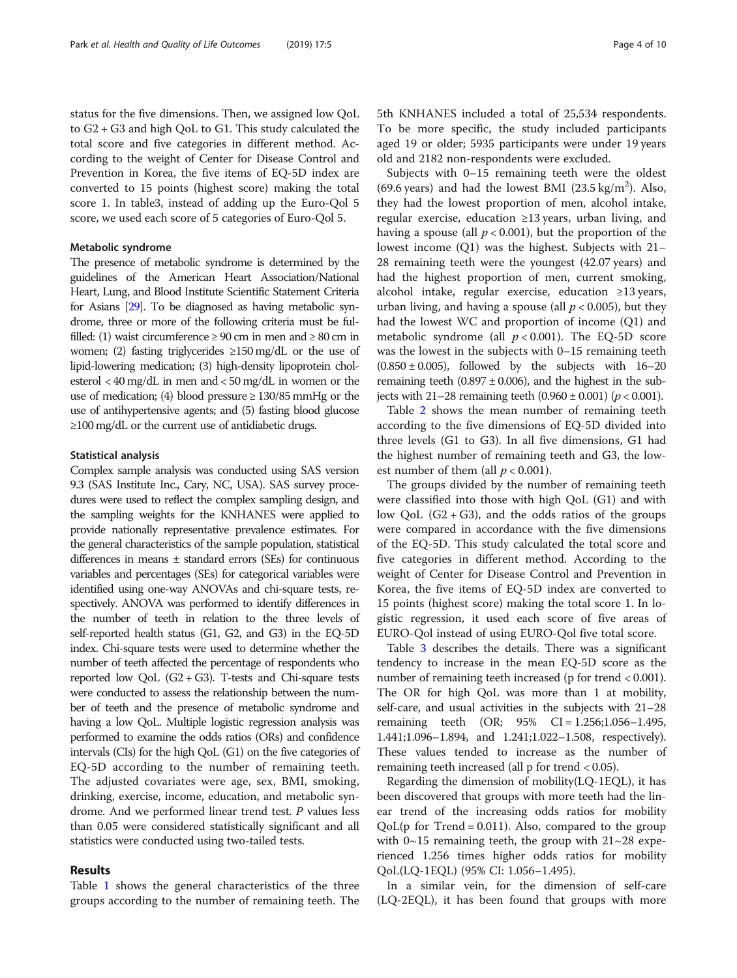status for the five dimensions. Then, we assigned low QoL to G2 + G3 and high QoL to G1. This study calculated the total score and five categories in different method. According to the weight of Center for Disease Control and Prevention in Korea, the five items of EQ-5D index are converted to 15 points (highest score) making the total score 1. In table3, instead of adding up the Euro-Qol 5 score, we used each score of 5 categories of Euro-Qol 5.

## Metabolic syndrome

The presence of metabolic syndrome is determined by the guidelines of the American Heart Association/National Heart, Lung, and Blood Institute Scientific Statement Criteria for Asians [\[29\]](#page-8-0). To be diagnosed as having metabolic syndrome, three or more of the following criteria must be fulfilled: (1) waist circumference  $\geq 90$  cm in men and  $\geq 80$  cm in women; (2) fasting triglycerides ≥150 mg/dL or the use of lipid-lowering medication; (3) high-density lipoprotein cholesterol < 40 mg/dL in men and < 50 mg/dL in women or the use of medication; (4) blood pressure  $\geq$  130/85 mmHg or the use of antihypertensive agents; and (5) fasting blood glucose ≥100 mg/dL or the current use of antidiabetic drugs.

## Statistical analysis

Complex sample analysis was conducted using SAS version 9.3 (SAS Institute Inc., Cary, NC, USA). SAS survey procedures were used to reflect the complex sampling design, and the sampling weights for the KNHANES were applied to provide nationally representative prevalence estimates. For the general characteristics of the sample population, statistical differences in means ± standard errors (SEs) for continuous variables and percentages (SEs) for categorical variables were identified using one-way ANOVAs and chi-square tests, respectively. ANOVA was performed to identify differences in the number of teeth in relation to the three levels of self-reported health status (G1, G2, and G3) in the EQ-5D index. Chi-square tests were used to determine whether the number of teeth affected the percentage of respondents who reported low QoL  $(G2 + G3)$ . T-tests and Chi-square tests were conducted to assess the relationship between the number of teeth and the presence of metabolic syndrome and having a low QoL. Multiple logistic regression analysis was performed to examine the odds ratios (ORs) and confidence intervals (CIs) for the high QoL (G1) on the five categories of EQ-5D according to the number of remaining teeth. The adjusted covariates were age, sex, BMI, smoking, drinking, exercise, income, education, and metabolic syndrome. And we performed linear trend test. P values less than 0.05 were considered statistically significant and all statistics were conducted using two-tailed tests.

## Results

Table [1](#page-4-0) shows the general characteristics of the three groups according to the number of remaining teeth. The

5th KNHANES included a total of 25,534 respondents. To be more specific, the study included participants aged 19 or older; 5935 participants were under 19 years old and 2182 non-respondents were excluded.

Subjects with 0–15 remaining teeth were the oldest (69.6 years) and had the lowest BMI  $(23.5 \text{ kg/m}^2)$ . Also, they had the lowest proportion of men, alcohol intake, regular exercise, education ≥13 years, urban living, and having a spouse (all  $p < 0.001$ ), but the proportion of the lowest income (Q1) was the highest. Subjects with 21– 28 remaining teeth were the youngest (42.07 years) and had the highest proportion of men, current smoking, alcohol intake, regular exercise, education ≥13 years, urban living, and having a spouse (all  $p < 0.005$ ), but they had the lowest WC and proportion of income (Q1) and metabolic syndrome (all  $p < 0.001$ ). The EQ-5D score was the lowest in the subjects with 0–15 remaining teeth  $(0.850 \pm 0.005)$ , followed by the subjects with  $16-20$ remaining teeth  $(0.897 \pm 0.006)$ , and the highest in the subjects with 21–28 remaining teeth  $(0.960 \pm 0.001)$  ( $p < 0.001$ ).

Table [2](#page-5-0) shows the mean number of remaining teeth according to the five dimensions of EQ-5D divided into three levels (G1 to G3). In all five dimensions, G1 had the highest number of remaining teeth and G3, the lowest number of them (all  $p < 0.001$ ).

The groups divided by the number of remaining teeth were classified into those with high QoL (G1) and with low  $\text{OoL}$  (G2 + G3), and the odds ratios of the groups were compared in accordance with the five dimensions of the EQ-5D. This study calculated the total score and five categories in different method. According to the weight of Center for Disease Control and Prevention in Korea, the five items of EQ-5D index are converted to 15 points (highest score) making the total score 1. In logistic regression, it used each score of five areas of EURO-Qol instead of using EURO-Qol five total score.

Table [3](#page-5-0) describes the details. There was a significant tendency to increase in the mean EQ-5D score as the number of remaining teeth increased (p for trend < 0.001). The OR for high QoL was more than 1 at mobility, self-care, and usual activities in the subjects with 21–28 remaining teeth (OR; 95% CI = 1.256;1.056–1.495, 1.441;1.096–1.894, and 1.241;1.022–1.508, respectively). These values tended to increase as the number of remaining teeth increased (all p for trend < 0.05).

Regarding the dimension of mobility(LQ-1EQL), it has been discovered that groups with more teeth had the linear trend of the increasing odds ratios for mobility  $QoL(p)$  for Trend = 0.011). Also, compared to the group with  $0~15$  remaining teeth, the group with  $21~28$  experienced 1.256 times higher odds ratios for mobility QoL(LQ-1EQL) (95% CI: 1.056–1.495).

In a similar vein, for the dimension of self-care (LQ-2EQL), it has been found that groups with more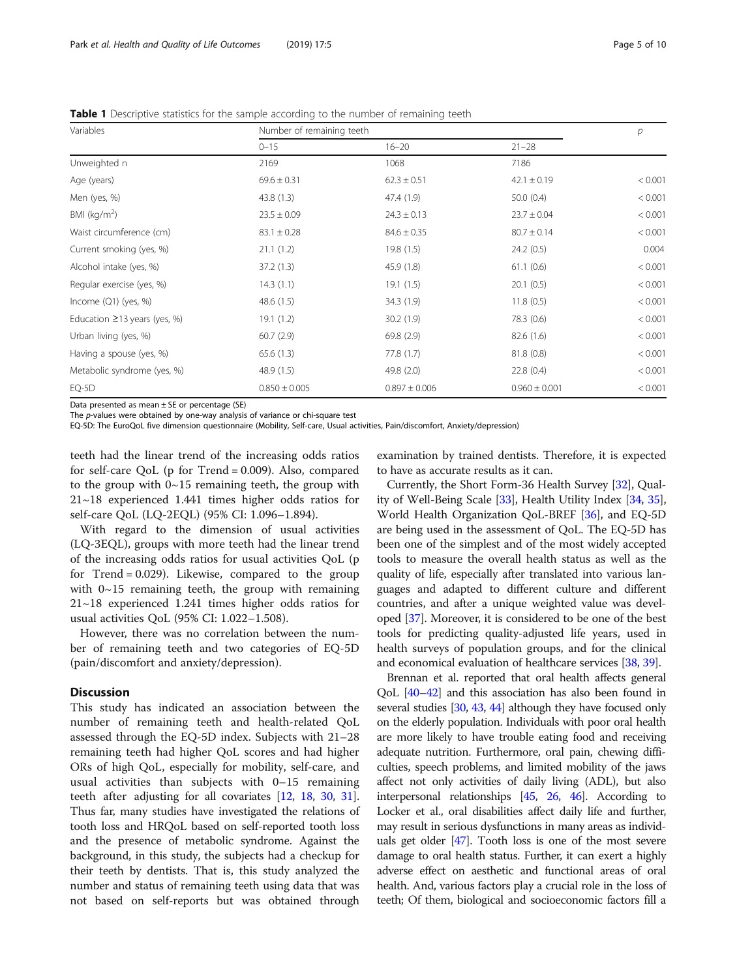<span id="page-4-0"></span>Table 1 Descriptive statistics for the sample according to the number of remaining teeth

| Variables                          | Number of remaining teeth |                   |                   |         |  |
|------------------------------------|---------------------------|-------------------|-------------------|---------|--|
|                                    | $0 - 15$                  | $16 - 20$         | $21 - 28$         |         |  |
| Unweighted n                       | 2169                      | 1068              | 7186              |         |  |
| Age (years)                        | $69.6 \pm 0.31$           | $62.3 \pm 0.51$   | $42.1 \pm 0.19$   | < 0.001 |  |
| Men (yes, %)                       | 43.8(1.3)                 | 47.4 (1.9)        | 50.0(0.4)         | < 0.001 |  |
| BMI ( $kg/m2$ )                    | $23.5 \pm 0.09$           | $24.3 \pm 0.13$   | $23.7 \pm 0.04$   | < 0.001 |  |
| Waist circumference (cm)           | $83.1 \pm 0.28$           | $84.6 \pm 0.35$   | $80.7 \pm 0.14$   | < 0.001 |  |
| Current smoking (yes, %)           | 21.1(1.2)                 | 19.8(1.5)         | 24.2(0.5)         | 0.004   |  |
| Alcohol intake (yes, %)            | 37.2(1.3)                 | 45.9(1.8)         | 61.1(0.6)         | < 0.001 |  |
| Regular exercise (yes, %)          | 14.3(1.1)                 | 19.1(1.5)         | 20.1(0.5)         | < 0.001 |  |
| Income $(Q1)$ (yes, %)             | 48.6 (1.5)                | 34.3(1.9)         | 11.8(0.5)         | < 0.001 |  |
| Education $\geq$ 13 years (yes, %) | 19.1(1.2)                 | 30.2(1.9)         | 78.3 (0.6)        | < 0.001 |  |
| Urban living (yes, %)              | 60.7(2.9)                 | 69.8(2.9)         | 82.6 (1.6)        | < 0.001 |  |
| Having a spouse (yes, %)           | 65.6(1.3)                 | 77.8 (1.7)        | 81.8(0.8)         | < 0.001 |  |
| Metabolic syndrome (yes, %)        | 48.9 (1.5)                | 49.8 (2.0)        | 22.8(0.4)         | < 0.001 |  |
| EQ-5D                              | $0.850 \pm 0.005$         | $0.897 \pm 0.006$ | $0.960 \pm 0.001$ | < 0.001 |  |

Data presented as mean  $\pm$  SE or percentage (SE)

The p-values were obtained by one-way analysis of variance or chi-square test

EQ-5D: The EuroQoL five dimension questionnaire (Mobility, Self-care, Usual activities, Pain/discomfort, Anxiety/depression)

teeth had the linear trend of the increasing odds ratios for self-care QoL (p for Trend = 0.009). Also, compared to the group with  $0 \sim 15$  remaining teeth, the group with 21~18 experienced 1.441 times higher odds ratios for self-care QoL (LQ-2EQL) (95% CI: 1.096–1.894).

With regard to the dimension of usual activities (LQ-3EQL), groups with more teeth had the linear trend of the increasing odds ratios for usual activities QoL (p for Trend = 0.029). Likewise, compared to the group with  $0 \sim 15$  remaining teeth, the group with remaining 21~18 experienced 1.241 times higher odds ratios for usual activities QoL (95% CI: 1.022–1.508).

However, there was no correlation between the number of remaining teeth and two categories of EQ-5D (pain/discomfort and anxiety/depression).

## **Discussion**

This study has indicated an association between the number of remaining teeth and health-related QoL assessed through the EQ-5D index. Subjects with 21–28 remaining teeth had higher QoL scores and had higher ORs of high QoL, especially for mobility, self-care, and usual activities than subjects with 0–15 remaining teeth after adjusting for all covariates [[12](#page-8-0), [18,](#page-8-0) [30,](#page-8-0) [31](#page-8-0)]. Thus far, many studies have investigated the relations of tooth loss and HRQoL based on self-reported tooth loss and the presence of metabolic syndrome. Against the background, in this study, the subjects had a checkup for their teeth by dentists. That is, this study analyzed the number and status of remaining teeth using data that was not based on self-reports but was obtained through

examination by trained dentists. Therefore, it is expected to have as accurate results as it can.

Currently, the Short Form-36 Health Survey [[32](#page-8-0)], Quality of Well-Being Scale [[33](#page-8-0)], Health Utility Index [[34](#page-8-0), [35](#page-8-0)], World Health Organization QoL-BREF [[36](#page-8-0)], and EQ-5D are being used in the assessment of QoL. The EQ-5D has been one of the simplest and of the most widely accepted tools to measure the overall health status as well as the quality of life, especially after translated into various languages and adapted to different culture and different countries, and after a unique weighted value was developed [\[37\]](#page-8-0). Moreover, it is considered to be one of the best tools for predicting quality-adjusted life years, used in health surveys of population groups, and for the clinical and economical evaluation of healthcare services [\[38](#page-8-0), [39](#page-8-0)].

Brennan et al. reported that oral health affects general QoL [\[40](#page-8-0)–[42](#page-8-0)] and this association has also been found in several studies [\[30,](#page-8-0) [43,](#page-8-0) [44](#page-8-0)] although they have focused only on the elderly population. Individuals with poor oral health are more likely to have trouble eating food and receiving adequate nutrition. Furthermore, oral pain, chewing difficulties, speech problems, and limited mobility of the jaws affect not only activities of daily living (ADL), but also interpersonal relationships [\[45,](#page-8-0) [26,](#page-8-0) [46](#page-8-0)]. According to Locker et al., oral disabilities affect daily life and further, may result in serious dysfunctions in many areas as individuals get older [\[47\]](#page-8-0). Tooth loss is one of the most severe damage to oral health status. Further, it can exert a highly adverse effect on aesthetic and functional areas of oral health. And, various factors play a crucial role in the loss of teeth; Of them, biological and socioeconomic factors fill a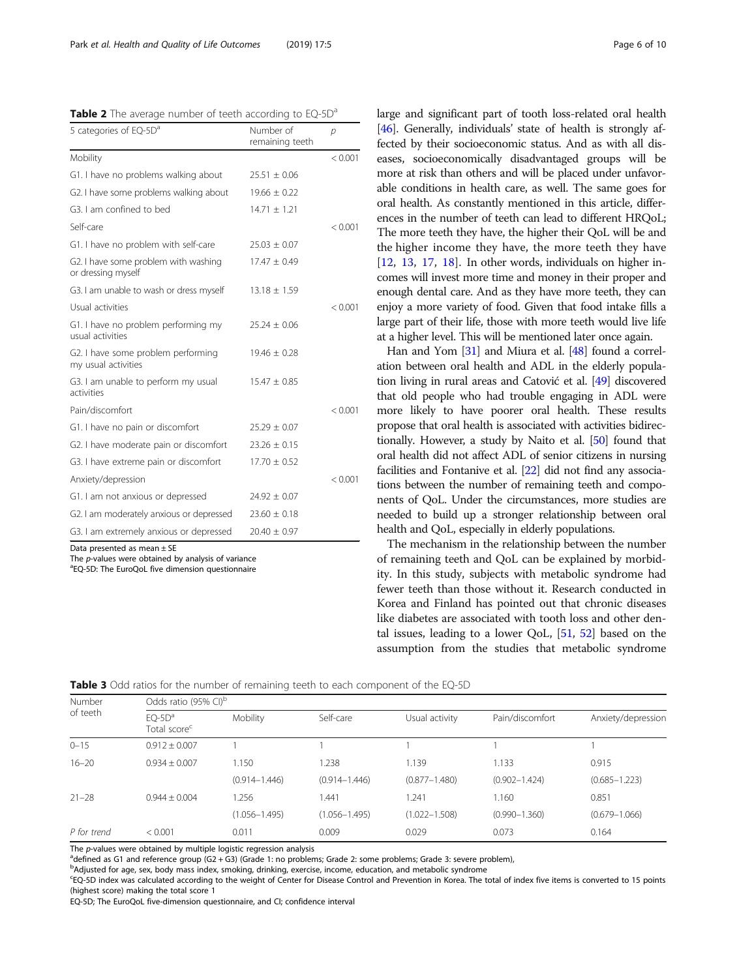<span id="page-5-0"></span>Table 2 The average number of teeth according to EQ-5D<sup>a</sup>

| 5 categories of EQ-5D <sup>a</sup>                         | Number of<br>remaining teeth | р       |
|------------------------------------------------------------|------------------------------|---------|
| Mobility                                                   |                              | < 0.001 |
| G1. I have no problems walking about                       | $25.51 \pm 0.06$             |         |
| G2. I have some problems walking about                     | $19.66 \pm 0.22$             |         |
| G3. I am confined to bed                                   | $14.71 \pm 1.21$             |         |
| Self-care                                                  |                              | < 0.001 |
| G1. I have no problem with self-care                       | $25.03 \pm 0.07$             |         |
| G2. I have some problem with washing<br>or dressing myself | $17.47 \pm 0.49$             |         |
| G3. I am unable to wash or dress myself                    | $13.18 \pm 1.59$             |         |
| Usual activities                                           |                              | < 0.001 |
| G1. I have no problem performing my<br>usual activities    | $25.24 \pm 0.06$             |         |
| G2. I have some problem performing<br>my usual activities  | $19.46 \pm 0.28$             |         |
| G3. I am unable to perform my usual<br>activities          | $15.47 \pm 0.85$             |         |
| Pain/discomfort                                            |                              | < 0.001 |
| G1. I have no pain or discomfort                           | $25.29 \pm 0.07$             |         |
| G2. I have moderate pain or discomfort                     | $23.26 \pm 0.15$             |         |
| G3. I have extreme pain or discomfort                      | $17.70 \pm 0.52$             |         |
| Anxiety/depression                                         |                              | < 0.001 |
| G1. I am not anxious or depressed                          | $24.92 \pm 0.07$             |         |
| G2. I am moderately anxious or depressed                   | $23.60 \pm 0.18$             |         |
| G3. I am extremely anxious or depressed                    | $20.40 \pm 0.97$             |         |

Data presented as mean ± SE

The  $p$ -values were obtained by analysis of variance

EQ-5D: The EuroQoL five dimension questionnaire

large and significant part of tooth loss-related oral health [[46](#page-8-0)]. Generally, individuals' state of health is strongly affected by their socioeconomic status. And as with all diseases, socioeconomically disadvantaged groups will be more at risk than others and will be placed under unfavorable conditions in health care, as well. The same goes for oral health. As constantly mentioned in this article, differences in the number of teeth can lead to different HRQoL; The more teeth they have, the higher their QoL will be and the higher income they have, the more teeth they have [[12](#page-8-0), [13](#page-8-0), [17](#page-8-0), [18\]](#page-8-0). In other words, individuals on higher incomes will invest more time and money in their proper and enough dental care. And as they have more teeth, they can enjoy a more variety of food. Given that food intake fills a large part of their life, those with more teeth would live life at a higher level. This will be mentioned later once again.

Han and Yom [\[31](#page-8-0)] and Miura et al. [[48](#page-8-0)] found a correlation between oral health and ADL in the elderly population living in rural areas and Catović et al. [\[49\]](#page-8-0) discovered that old people who had trouble engaging in ADL were more likely to have poorer oral health. These results propose that oral health is associated with activities bidirectionally. However, a study by Naito et al. [[50\]](#page-8-0) found that oral health did not affect ADL of senior citizens in nursing facilities and Fontanive et al. [\[22\]](#page-8-0) did not find any associations between the number of remaining teeth and components of QoL. Under the circumstances, more studies are needed to build up a stronger relationship between oral health and QoL, especially in elderly populations.

The mechanism in the relationship between the number of remaining teeth and QoL can be explained by morbidity. In this study, subjects with metabolic syndrome had fewer teeth than those without it. Research conducted in Korea and Finland has pointed out that chronic diseases like diabetes are associated with tooth loss and other dental issues, leading to a lower QoL, [\[51,](#page-8-0) [52](#page-8-0)] based on the assumption from the studies that metabolic syndrome

**Table 3** Odd ratios for the number of remaining teeth to each component of the EQ-5D

| Number<br>of teeth |                                      | Odds ratio (95% CI) <sup>b</sup> |                   |                   |                   |                    |  |  |
|--------------------|--------------------------------------|----------------------------------|-------------------|-------------------|-------------------|--------------------|--|--|
|                    | $EO-5Da$<br>Total score <sup>c</sup> | Mobility                         | Self-care         | Usual activity    | Pain/discomfort   | Anxiety/depression |  |  |
| $0 - 15$           | $0.912 \pm 0.007$                    |                                  |                   |                   |                   |                    |  |  |
| $16 - 20$          | $0.934 \pm 0.007$                    | 1.150                            | .238              | 1.139             | 1.133             | 0.915              |  |  |
|                    |                                      | $(0.914 - 1.446)$                | $(0.914 - 1.446)$ | $(0.877 - 1.480)$ | $(0.902 - 1.424)$ | $(0.685 - 1.223)$  |  |  |
| $21 - 28$          | $0.944 \pm 0.004$                    | 1.256                            | .441              | .241              | 1.160             | 0.851              |  |  |
|                    |                                      | $(1.056 - 1.495)$                | $(1.056 - 1.495)$ | $(1.022 - 1.508)$ | $(0.990 - 1.360)$ | $(0.679 - 1.066)$  |  |  |
| P for trend        | < 0.001                              | 0.011                            | 0.009             | 0.029             | 0.073             | 0.164              |  |  |

The  $p$ -values were obtained by multiple logistic regression analysis

 $a$ defined as G1 and reference group (G2 + G3) (Grade 1: no problems; Grade 2: some problems; Grade 3: severe problem),

b Adjusted for age, sex, body mass index, smoking, drinking, exercise, income, education, and metabolic syndrome

c EQ-5D index was calculated according to the weight of Center for Disease Control and Prevention in Korea. The total of index five items is converted to 15 points (highest score) making the total score 1

EQ-5D; The EuroQoL five-dimension questionnaire, and CI; confidence interval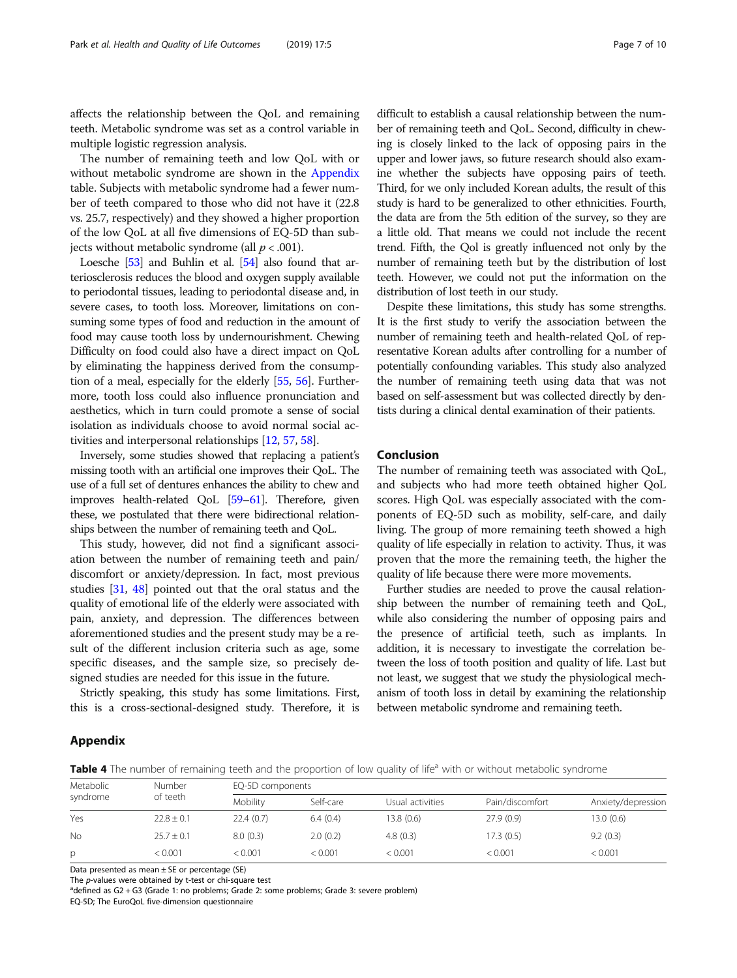affects the relationship between the QoL and remaining teeth. Metabolic syndrome was set as a control variable in multiple logistic regression analysis.

The number of remaining teeth and low QoL with or without metabolic syndrome are shown in the Appendix table. Subjects with metabolic syndrome had a fewer number of teeth compared to those who did not have it (22.8 vs. 25.7, respectively) and they showed a higher proportion of the low QoL at all five dimensions of EQ-5D than subjects without metabolic syndrome (all  $p < .001$ ).

Loesche [[53\]](#page-8-0) and Buhlin et al. [\[54\]](#page-8-0) also found that arteriosclerosis reduces the blood and oxygen supply available to periodontal tissues, leading to periodontal disease and, in severe cases, to tooth loss. Moreover, limitations on consuming some types of food and reduction in the amount of food may cause tooth loss by undernourishment. Chewing Difficulty on food could also have a direct impact on QoL by eliminating the happiness derived from the consumption of a meal, especially for the elderly [\[55,](#page-8-0) [56\]](#page-8-0). Furthermore, tooth loss could also influence pronunciation and aesthetics, which in turn could promote a sense of social isolation as individuals choose to avoid normal social activities and interpersonal relationships [\[12](#page-8-0), [57](#page-8-0), [58\]](#page-8-0).

Inversely, some studies showed that replacing a patient's missing tooth with an artificial one improves their QoL. The use of a full set of dentures enhances the ability to chew and improves health-related QoL [[59](#page-8-0)–[61](#page-9-0)]. Therefore, given these, we postulated that there were bidirectional relationships between the number of remaining teeth and QoL.

This study, however, did not find a significant association between the number of remaining teeth and pain/ discomfort or anxiety/depression. In fact, most previous studies [\[31](#page-8-0), [48\]](#page-8-0) pointed out that the oral status and the quality of emotional life of the elderly were associated with pain, anxiety, and depression. The differences between aforementioned studies and the present study may be a result of the different inclusion criteria such as age, some specific diseases, and the sample size, so precisely designed studies are needed for this issue in the future.

Strictly speaking, this study has some limitations. First, this is a cross-sectional-designed study. Therefore, it is ber of remaining teeth and QoL. Second, difficulty in chewing is closely linked to the lack of opposing pairs in the upper and lower jaws, so future research should also examine whether the subjects have opposing pairs of teeth. Third, for we only included Korean adults, the result of this study is hard to be generalized to other ethnicities. Fourth, the data are from the 5th edition of the survey, so they are a little old. That means we could not include the recent trend. Fifth, the Qol is greatly influenced not only by the number of remaining teeth but by the distribution of lost teeth. However, we could not put the information on the distribution of lost teeth in our study.

Despite these limitations, this study has some strengths. It is the first study to verify the association between the number of remaining teeth and health-related QoL of representative Korean adults after controlling for a number of potentially confounding variables. This study also analyzed the number of remaining teeth using data that was not based on self-assessment but was collected directly by dentists during a clinical dental examination of their patients.

## Conclusion

The number of remaining teeth was associated with QoL, and subjects who had more teeth obtained higher QoL scores. High QoL was especially associated with the components of EQ-5D such as mobility, self-care, and daily living. The group of more remaining teeth showed a high quality of life especially in relation to activity. Thus, it was proven that the more the remaining teeth, the higher the quality of life because there were more movements.

Further studies are needed to prove the causal relationship between the number of remaining teeth and QoL, while also considering the number of opposing pairs and the presence of artificial teeth, such as implants. In addition, it is necessary to investigate the correlation between the loss of tooth position and quality of life. Last but not least, we suggest that we study the physiological mechanism of tooth loss in detail by examining the relationship between metabolic syndrome and remaining teeth.

## Appendix

Table 4 The number of remaining teeth and the proportion of low quality of life<sup>a</sup> with or without metabolic syndrome

| Metabolic<br>syndrome | Number         | EQ-5D components |           |                  |                 |                    |  |
|-----------------------|----------------|------------------|-----------|------------------|-----------------|--------------------|--|
|                       | of teeth       | <b>Mobility</b>  | Self-care | Usual activities | Pain/discomfort | Anxiety/depression |  |
| Yes                   | $22.8 \pm 0.1$ | 22.4(0.7)        | 6.4(0.4)  | 13.8(0.6)        | 27.9(0.9)       | 13.0(0.6)          |  |
| No                    | $25.7 \pm 0.1$ | 8.0(0.3)         | 2.0(0.2)  | 4.8(0.3)         | 17.3 (0.5)      | 9.2(0.3)           |  |
|                       | < 0.001        | < 0.001          | < 0.001   | < 0.001          | < 0.001         | < 0.001            |  |

Data presented as mean  $\pm$  SE or percentage (SE)

The  $p$ -values were obtained by t-test or chi-square test

 $^{a}$ defined as G2 + G3 (Grade 1: no problems; Grade 2: some problems; Grade 3: severe problem)

EQ-5D; The EuroQoL five-dimension questionnaire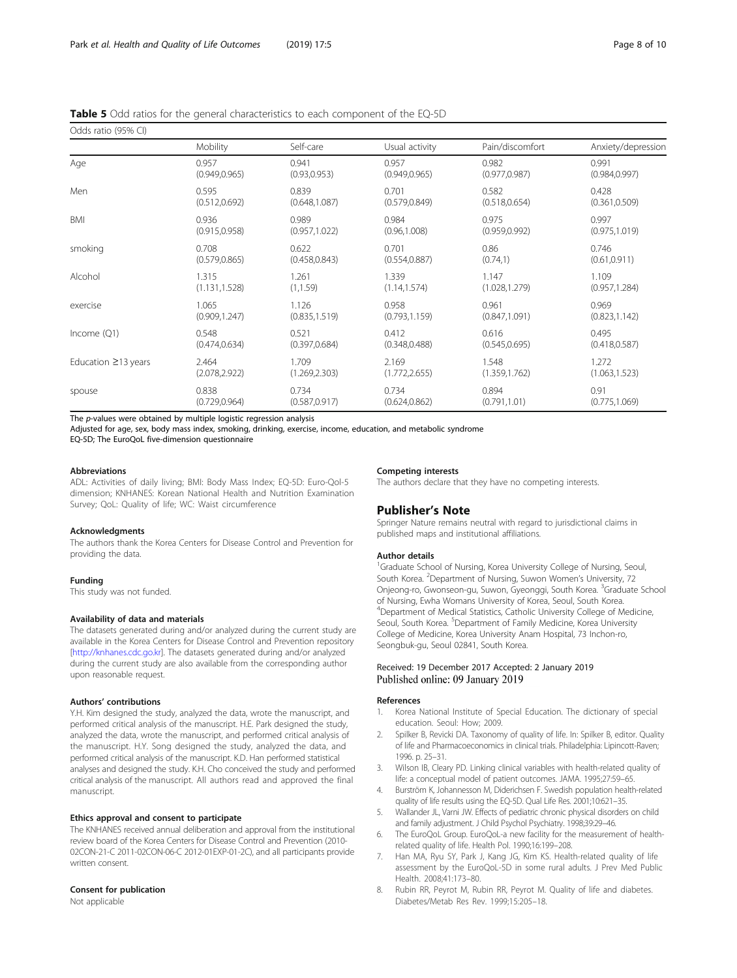## <span id="page-7-0"></span>Table 5 Odd ratios for the general characteristics to each component of the EQ-5D

| Odds ratio (95% CI)       |                |                |                |                 |                    |  |
|---------------------------|----------------|----------------|----------------|-----------------|--------------------|--|
|                           | Mobility       | Self-care      | Usual activity | Pain/discomfort | Anxiety/depression |  |
| Age                       | 0.957          | 0.941          | 0.957          | 0.982           | 0.991              |  |
|                           | (0.949, 0.965) | (0.93, 0.953)  | (0.949, 0.965) | (0.977, 0.987)  | (0.984, 0.997)     |  |
| Men                       | 0.595          | 0.839          | 0.701          | 0.582           | 0.428              |  |
|                           | (0.512, 0.692) | (0.648, 1.087) | (0.579, 0.849) | (0.518, 0.654)  | (0.361, 0.509)     |  |
| BMI                       | 0.936          | 0.989          | 0.984          | 0.975           | 0.997              |  |
|                           | (0.915, 0.958) | (0.957, 1.022) | (0.96, 1.008)  | (0.959, 0.992)  | (0.975, 1.019)     |  |
| smoking                   | 0.708          | 0.622          | 0.701          | 0.86            | 0.746              |  |
|                           | (0.579, 0.865) | (0.458, 0.843) | (0.554, 0.887) | (0.74, 1)       | (0.61, 0.911)      |  |
| Alcohol                   | 1.315          | 1.261          | 1.339          | 1.147           | 1.109              |  |
|                           | (1.131, 1.528) | (1, 1.59)      | (1.14, 1.574)  | (1.028, 1.279)  | (0.957, 1.284)     |  |
| exercise                  | 1.065          | 1.126          | 0.958          | 0.961           | 0.969              |  |
|                           | (0.909, 1.247) | (0.835, 1.519) | (0.793, 1.159) | (0.847, 1.091)  | (0.823, 1.142)     |  |
| Income $(Q1)$             | 0.548          | 0.521          | 0.412          | 0.616           | 0.495              |  |
|                           | (0.474, 0.634) | (0.397, 0.684) | (0.348, 0.488) | (0.545, 0.695)  | (0.418, 0.587)     |  |
| Education $\geq$ 13 years | 2.464          | 1.709          | 2.169          | 1.548           | 1.272              |  |
|                           | (2.078, 2.922) | (1.269, 2.303) | (1.772, 2.655) | (1.359, 1.762)  | (1.063, 1.523)     |  |
| spouse                    | 0.838          | 0.734          | 0.734          | 0.894           | 0.91               |  |
|                           | (0.729, 0.964) | (0.587, 0.917) | (0.624, 0.862) | (0.791, 1.01)   | (0.775, 1.069)     |  |

The p-values were obtained by multiple logistic regression analysis

Adjusted for age, sex, body mass index, smoking, drinking, exercise, income, education, and metabolic syndrome

EQ-5D; The EuroQoL five-dimension questionnaire

#### Abbreviations

ADL: Activities of daily living; BMI: Body Mass Index; EQ-5D: Euro-Qol-5 dimension; KNHANES: Korean National Health and Nutrition Examination Survey; QoL: Quality of life; WC: Waist circumference

#### Acknowledgments

The authors thank the Korea Centers for Disease Control and Prevention for providing the data.

#### Funding

This study was not funded.

#### Availability of data and materials

The datasets generated during and/or analyzed during the current study are available in the Korea Centers for Disease Control and Prevention repository [<http://knhanes.cdc.go.kr>]. The datasets generated during and/or analyzed during the current study are also available from the corresponding author upon reasonable request.

#### Authors' contributions

Y.H. Kim designed the study, analyzed the data, wrote the manuscript, and performed critical analysis of the manuscript. H.E. Park designed the study, analyzed the data, wrote the manuscript, and performed critical analysis of the manuscript. H.Y. Song designed the study, analyzed the data, and performed critical analysis of the manuscript. K.D. Han performed statistical analyses and designed the study. K.H. Cho conceived the study and performed critical analysis of the manuscript. All authors read and approved the final manuscript.

#### Ethics approval and consent to participate

The KNHANES received annual deliberation and approval from the institutional review board of the Korea Centers for Disease Control and Prevention (2010- 02CON-21-C 2011-02CON-06-C 2012-01EXP-01-2C), and all participants provide written consent.

#### Consent for publication

Not applicable

#### Competing interests

The authors declare that they have no competing interests.

#### Publisher's Note

Springer Nature remains neutral with regard to jurisdictional claims in published maps and institutional affiliations.

#### Author details

<sup>1</sup>Graduate School of Nursing, Korea University College of Nursing, Seoul, South Korea. <sup>2</sup>Department of Nursing, Suwon Women's University, 72 Onjeong-ro, Gwonseon-gu, Suwon, Gyeonggi, South Korea. <sup>3</sup>Graduate School of Nursing, Ewha Womans University of Korea, Seoul, South Korea. 4 Department of Medical Statistics, Catholic University College of Medicine, Seoul, South Korea. <sup>5</sup>Department of Family Medicine, Korea University College of Medicine, Korea University Anam Hospital, 73 Inchon-ro, Seongbuk-gu, Seoul 02841, South Korea.

#### Received: 19 December 2017 Accepted: 2 January 2019 Published online: 09 January 2019

#### References

- 1. Korea National Institute of Special Education. The dictionary of special education. Seoul: How; 2009.
- 2. Spilker B, Revicki DA. Taxonomy of quality of life. In: Spilker B, editor. Quality of life and Pharmacoeconomics in clinical trials. Philadelphia: Lipincott-Raven; 1996. p. 25–31.
- 3. Wilson IB, Cleary PD. Linking clinical variables with health-related quality of life: a conceptual model of patient outcomes. JAMA. 1995;27:59–65.
- 4. Burström K, Johannesson M, Diderichsen F. Swedish population health-related quality of life results using the EQ-5D. Qual Life Res. 2001;10:621–35.
- 5. Wallander JL, Varni JW. Effects of pediatric chronic physical disorders on child and family adjustment. J Child Psychol Psychiatry. 1998;39:29–46.
- 6. The EuroQoL Group. EuroQoL-a new facility for the measurement of healthrelated quality of life. Health Pol. 1990;16:199–208.
- 7. Han MA, Ryu SY, Park J, Kang JG, Kim KS. Health-related quality of life assessment by the EuroQoL-5D in some rural adults. J Prev Med Public Health. 2008;41:173–80.
- 8. Rubin RR, Peyrot M, Rubin RR, Peyrot M. Quality of life and diabetes. Diabetes/Metab Res Rev. 1999;15:205–18.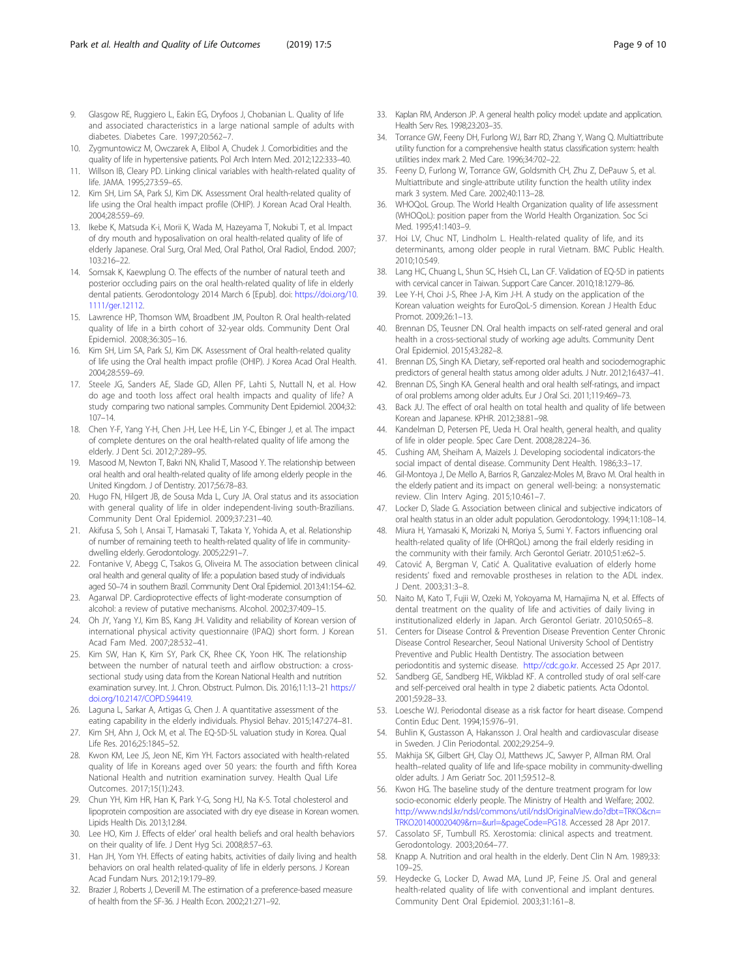- <span id="page-8-0"></span>9. Glasgow RE, Ruggiero L, Eakin EG, Dryfoos J, Chobanian L. Quality of life and associated characteristics in a large national sample of adults with diabetes. Diabetes Care. 1997;20:562–7.
- 10. Zygmuntowicz M, Owczarek A, Elibol A, Chudek J. Comorbidities and the quality of life in hypertensive patients. Pol Arch Intern Med. 2012;122:333–40.
- 11. Willson IB, Cleary PD. Linking clinical variables with health-related quality of life. JAMA. 1995;273:59–65.
- 12. Kim SH, Lim SA, Park SJ, Kim DK. Assessment Oral health-related quality of life using the Oral health impact profile (OHIP). J Korean Acad Oral Health. 2004;28:559–69.
- 13. Ikebe K, Matsuda K-i, Morii K, Wada M, Hazeyama T, Nokubi T, et al. Impact of dry mouth and hyposalivation on oral health-related quality of life of elderly Japanese. Oral Surg, Oral Med, Oral Pathol, Oral Radiol, Endod. 2007; 103:216–22.
- 14. Somsak K, Kaewplung O. The effects of the number of natural teeth and posterior occluding pairs on the oral health-related quality of life in elderly dental patients. Gerodontology 2014 March 6 [Epub]. doi: [https://doi.org/10.](https://doi.org/10.1111/ger.12112) [1111/ger.12112](https://doi.org/10.1111/ger.12112).
- 15. Lawrence HP, Thomson WM, Broadbent JM, Poulton R. Oral health-related quality of life in a birth cohort of 32-year olds. Community Dent Oral Epidemiol. 2008;36:305–16.
- 16. Kim SH, Lim SA, Park SJ, Kim DK. Assessment of Oral health-related quality of life using the Oral health impact profile (OHIP). J Korea Acad Oral Health. 2004;28:559–69.
- 17. Steele JG, Sanders AE, Slade GD, Allen PF, Lahti S, Nuttall N, et al. How do age and tooth loss affect oral health impacts and quality of life? A study comparing two national samples. Community Dent Epidemiol. 2004;32: 107–14.
- 18. Chen Y-F, Yang Y-H, Chen J-H, Lee H-E, Lin Y-C, Ebinger J, et al. The impact of complete dentures on the oral health-related quality of life among the elderly. J Dent Sci. 2012;7:289–95.
- 19. Masood M, Newton T, Bakri NN, Khalid T, Masood Y. The relationship between oral health and oral health-related quality of life among elderly people in the United Kingdom. J of Dentistry. 2017;56:78–83.
- 20. Hugo FN, Hilgert JB, de Sousa Mda L, Cury JA. Oral status and its association with general quality of life in older independent-living south-Brazilians. Community Dent Oral Epidemiol. 2009;37:231–40.
- 21. Akifusa S, Soh I, Ansai T, Hamasaki T, Takata Y, Yohida A, et al. Relationship of number of remaining teeth to health-related quality of life in communitydwelling elderly. Gerodontology. 2005;22:91–7.
- 22. Fontanive V, Abegg C, Tsakos G, Oliveira M. The association between clinical oral health and general quality of life: a population based study of individuals aged 50–74 in southern Brazil. Community Dent Oral Epidemiol. 2013;41:154–62.
- 23. Agarwal DP. Cardioprotective effects of light-moderate consumption of alcohol: a review of putative mechanisms. Alcohol. 2002;37:409–15.
- 24. Oh JY, Yang YJ, Kim BS, Kang JH. Validity and reliability of Korean version of international physical activity questionnaire (IPAQ) short form. J Korean Acad Fam Med. 2007;28:532–41.
- 25. Kim SW, Han K, Kim SY, Park CK, Rhee CK, Yoon HK. The relationship between the number of natural teeth and airflow obstruction: a crosssectional study using data from the Korean National Health and nutrition examination survey. Int. J. Chron. Obstruct. Pulmon. Dis. 2016;11:13–21 [https://](https://doi.org/10.2147/COPD.S94419) [doi.org/10.2147/COPD.S94419](https://doi.org/10.2147/COPD.S94419).
- 26. Laguna L, Sarkar A, Artigas G, Chen J. A quantitative assessment of the eating capability in the elderly individuals. Physiol Behav. 2015;147:274–81.
- 27. Kim SH, Ahn J, Ock M, et al. The EQ-5D-5L valuation study in Korea. Qual Life Res. 2016;25:1845–52.
- 28. Kwon KM, Lee JS, Jeon NE, Kim YH. Factors associated with health-related quality of life in Koreans aged over 50 years: the fourth and fifth Korea National Health and nutrition examination survey. Health Qual Life Outcomes. 2017;15(1):243.
- 29. Chun YH, Kim HR, Han K, Park Y-G, Song HJ, Na K-S. Total cholesterol and lipoprotein composition are associated with dry eye disease in Korean women. Lipids Health Dis. 2013;12:84.
- 30. Lee HO, Kim J. Effects of elder' oral health beliefs and oral health behaviors on their quality of life. J Dent Hyg Sci. 2008;8:57–63.
- 31. Han JH, Yom YH. Effects of eating habits, activities of daily living and health behaviors on oral health related-quality of life in elderly persons. J Korean Acad Fundam Nurs. 2012;19:179–89.
- 32. Brazier J, Roberts J, Deverill M. The estimation of a preference-based measure of health from the SF-36. J Health Econ. 2002;21:271–92.
- 33. Kaplan RM, Anderson JP. A general health policy model: update and application. Health Serv Res. 1998;23:203–35.
- 34. Torrance GW, Feeny DH, Furlong WJ, Barr RD, Zhang Y, Wang Q. Multiattribute utility function for a comprehensive health status classification system: health utilities index mark 2. Med Care. 1996;34:702–22.
- 35. Feeny D, Furlong W, Torrance GW, Goldsmith CH, Zhu Z, DePauw S, et al. Multiattribute and single-attribute utility function the health utility index mark 3 system. Med Care. 2002;40:113–28.
- 36. WHOQoL Group. The World Health Organization quality of life assessment (WHOQoL): position paper from the World Health Organization. Soc Sci Med. 1995;41:1403–9.
- 37. Hoi LV, Chuc NT, Lindholm L. Health-related quality of life, and its determinants, among older people in rural Vietnam. BMC Public Health. 2010;10:549.
- 38. Lang HC, Chuang L, Shun SC, Hsieh CL, Lan CF. Validation of EQ-5D in patients with cervical cancer in Taiwan. Support Care Cancer. 2010;18:1279–86.
- 39. Lee Y-H, Choi J-S, Rhee J-A, Kim J-H. A study on the application of the Korean valuation weights for EuroQoL-5 dimension. Korean J Health Educ Promot. 2009;26:1–13.
- 40. Brennan DS, Teusner DN. Oral health impacts on self-rated general and oral health in a cross-sectional study of working age adults. Community Dent Oral Epidemiol. 2015;43:282–8.
- 41. Brennan DS, Singh KA. Dietary, self-reported oral health and sociodemographic predictors of general health status among older adults. J Nutr. 2012;16:437–41.
- Brennan DS, Singh KA. General health and oral health self-ratings, and impact of oral problems among older adults. Eur J Oral Sci. 2011;119:469–73.
- 43. Back JU. The effect of oral health on total health and quality of life between Korean and Japanese. KPHR. 2012;38:81–98.
- 44. Kandelman D, Petersen PE, Ueda H. Oral health, general health, and quality of life in older people. Spec Care Dent. 2008;28:224–36.
- 45. Cushing AM, Sheiham A, Maizels J. Developing sociodental indicators-the social impact of dental disease. Community Dent Health. 1986;3:3–17.
- 46. Gil-Montoya J, De Mello A, Barrios R, Ganzalez-Moles M, Bravo M. Oral health in the elderly patient and its impact on general well-being: a nonsystematic review. Clin Interv Aging. 2015;10:461–7.
- 47. Locker D, Slade G. Association between clinical and subjective indicators of oral health status in an older adult population. Gerodontology. 1994;11:108–14.
- 48. Miura H, Yamasaki K, Morizaki N, Moriya S, Sumi Y. Factors influencing oral health-related quality of life (OHRQoL) among the frail elderly residing in the community with their family. Arch Gerontol Geriatr. 2010;51:e62–5.
- 49. Catović A, Bergman V, Catić A. Qualitative evaluation of elderly home residents' fixed and removable prostheses in relation to the ADL index. J Dent. 2003;31:3–8.
- 50. Naito M, Kato T, Fujii W, Ozeki M, Yokoyama M, Hamajima N, et al. Effects of dental treatment on the quality of life and activities of daily living in institutionalized elderly in Japan. Arch Gerontol Geriatr. 2010;50:65–8.
- 51. Centers for Disease Control & Prevention Disease Prevention Center Chronic Disease Control Researcher, Seoul National University School of Dentistry Preventive and Public Health Dentistry. The association between periodontitis and systemic disease. <http://cdc.go.kr>. Accessed 25 Apr 2017.
- 52. Sandberg GE, Sandberg HE, Wikblad KF. A controlled study of oral self-care and self-perceived oral health in type 2 diabetic patients. Acta Odontol. 2001;59:28–33.
- 53. Loesche WJ. Periodontal disease as a risk factor for heart disease. Compend Contin Educ Dent. 1994;15:976–91.
- Buhlin K, Gustasson A, Hakansson J. Oral health and cardiovascular disease in Sweden. J Clin Periodontal. 2002;29:254–9.
- 55. Makhija SK, Gilbert GH, Clay OJ, Matthews JC, Sawyer P, Allman RM. Oral health–related quality of life and life-space mobility in community-dwelling older adults. J Am Geriatr Soc. 2011;59:512–8.
- 56. Kwon HG. The baseline study of the denture treatment program for low socio-economic elderly people. The Ministry of Health and Welfare; 2002. [http://www.ndsl.kr/ndsl/commons/util/ndslOriginalView.do?dbt=TRKO&cn=](http://www.ndsl.kr/ndsl/commons/util/ndslOriginalView.do?dbt=TRKO&cn=TRKO201400020409&rn=&url=&pageCode=PG18) [TRKO201400020409&rn=&url=&pageCode=PG18.](http://www.ndsl.kr/ndsl/commons/util/ndslOriginalView.do?dbt=TRKO&cn=TRKO201400020409&rn=&url=&pageCode=PG18) Accessed 28 Apr 2017.
- 57. Cassolato SF, Tumbull RS. Xerostomia: clinical aspects and treatment. Gerodontology. 2003;20:64–77.
- 58. Knapp A. Nutrition and oral health in the elderly. Dent Clin N Am. 1989;33: 109–25.
- Heydecke G, Locker D, Awad MA, Lund JP, Feine JS. Oral and general health-related quality of life with conventional and implant dentures. Community Dent Oral Epidemiol. 2003;31:161–8.